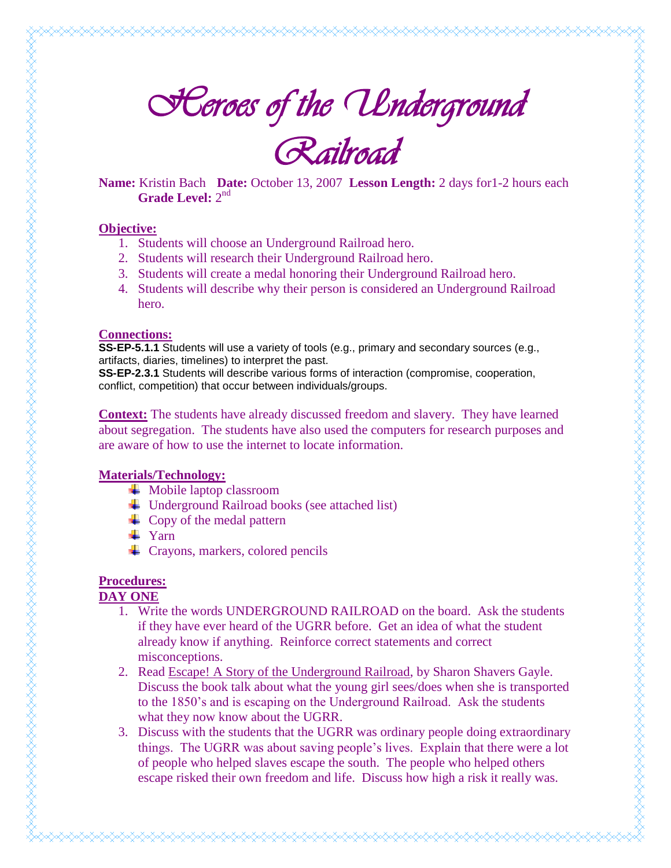*Railroad* 

**Name:** Kristin Bach **Date:** October 13, 2007 **Lesson Length:** 2 days for1-2 hours each Grade Level: 2<sup>nd</sup>

#### **Objective:**

- 1. Students will choose an Underground Railroad hero.
- 2. Students will research their Underground Railroad hero.
- 3. Students will create a medal honoring their Underground Railroad hero.
- 4. Students will describe why their person is considered an Underground Railroad hero.

#### **Connections:**

**SS-EP-5.1.1** Students will use a variety of tools (e.g., primary and secondary sources (e.g., artifacts, diaries, timelines) to interpret the past.

**SS-EP-2.3.1** Students will describe various forms of interaction (compromise, cooperation, conflict, competition) that occur between individuals/groups.

**Context:** The students have already discussed freedom and slavery. They have learned about segregation. The students have also used the computers for research purposes and are aware of how to use the internet to locate information.

### **Materials/Technology:**

- $\downarrow$  Mobile laptop classroom
- Underground Railroad books (see attached list)
- $\leftarrow$  Copy of the medal pattern
- $\blacksquare$  Yarn
- $\leftarrow$  Crayons, markers, colored pencils

## **Procedures:**

#### **DAY ONE**

- 1. Write the words UNDERGROUND RAILROAD on the board. Ask the students if they have ever heard of the UGRR before. Get an idea of what the student already know if anything. Reinforce correct statements and correct misconceptions.
- 2. Read Escape! A Story of the Underground Railroad, by Sharon Shavers Gayle. Discuss the book talk about what the young girl sees/does when she is transported to the 1850's and is escaping on the Underground Railroad. Ask the students what they now know about the UGRR.
- 3. Discuss with the students that the UGRR was ordinary people doing extraordinary things. The UGRR was about saving people's lives. Explain that there were a lot of people who helped slaves escape the south. The people who helped others escape risked their own freedom and life. Discuss how high a risk it really was.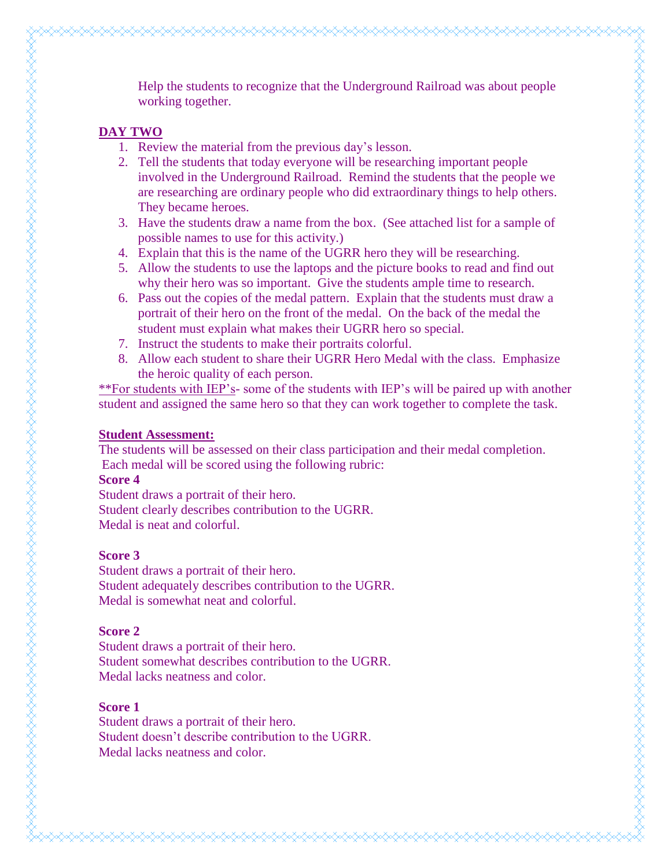Help the students to recognize that the Underground Railroad was about people working together. **DAY TWO** 1. Review the material from the previous day's lesson. 2. Tell the students that today everyone will be researching important people involved in the Underground Railroad. Remind the students that the people we are researching are ordinary people who did extraordinary things to help others. They became heroes. 3. Have the students draw a name from the box. (See attached list for a sample of possible names to use for this activity.) 4. Explain that this is the name of the UGRR hero they will be researching. 5. Allow the students to use the laptops and the picture books to read and find out

- why their hero was so important. Give the students ample time to research. 6. Pass out the copies of the medal pattern. Explain that the students must draw a portrait of their hero on the front of the medal. On the back of the medal the student must explain what makes their UGRR hero so special.
- 7. Instruct the students to make their portraits colorful.
- 8. Allow each student to share their UGRR Hero Medal with the class. Emphasize the heroic quality of each person.

\*\*For students with IEP's- some of the students with IEP's will be paired up with another student and assigned the same hero so that they can work together to complete the task.

#### **Student Assessment:**

The students will be assessed on their class participation and their medal completion. Each medal will be scored using the following rubric:

#### **Score 4**

Student draws a portrait of their hero. Student clearly describes contribution to the UGRR. Medal is neat and colorful.

#### **Score 3**

Student draws a portrait of their hero. Student adequately describes contribution to the UGRR. Medal is somewhat neat and colorful.

#### **Score 2**

Student draws a portrait of their hero. Student somewhat describes contribution to the UGRR. Medal lacks neatness and color.

#### **Score 1**

Student draws a portrait of their hero. Student doesn't describe contribution to the UGRR. Medal lacks neatness and color.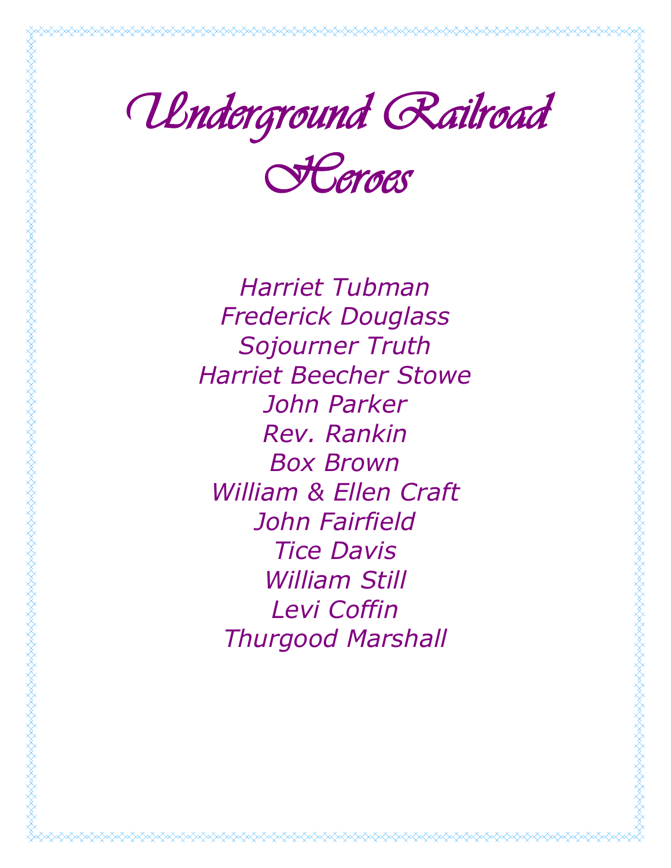

*Heroes* 

*Harriet Tubman Frederick Douglass Sojourner Truth Harriet Beecher Stowe John Parker Rev. Rankin Box Brown William & Ellen Craft John Fairfield Tice Davis William Still Levi Coffin Thurgood Marshall*